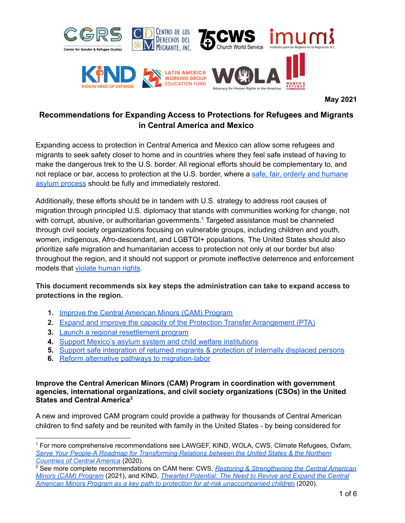

**May 2021**

# **Recommendations for Expanding Access to Protections for Refugees and Migrants in Central America and Mexico**

Expanding access to protection in Central America and Mexico can allow some refugees and migrants to seek safety closer to home and in countries where they feel safe instead of having to make the dangerous trek to the U.S. border. All regional efforts should be complementary to, and not replace or bar, access to protection at the U.S. border, where a [safe, fair, orderly and humane](https://www.humanrightsfirst.org/sites/default/files/LetterDHSDOJAsylumSystemReformsFINAL.pdf) [asylum process](https://www.humanrightsfirst.org/sites/default/files/LetterDHSDOJAsylumSystemReformsFINAL.pdf) should b[e fully and immediately restored](https://www.humanrightsfirst.org/sites/default/files/LetterDHSDOJAsylumSystemReformsFINAL.pdf).

Additionally, these efforts should be in tandem with U.S. strategy to address root causes of migration through principled U.S. diplomacy that stands with communities working for change, not with corrupt, abusive, or authoritarian governments.<sup>1</sup> Targeted assistance must be channeled through civil society organizations focusing on vulnerable groups, including children and youth, women, indigenous, Afro-descendant, and LGBTQI+ populations. The United States should also prioritize safe migration and humanitarian access to protection not only at our border but also throughout the region, and it should not support or promote ineffective deterrence and enforcement models that [violate human rights](https://docs.google.com/document/d/1a8sBs8o8r01RCYUVOMZsYGRLBqO3KsY9Zct7sde3OyY/edit).

## **This document recommends six key steps the administration can take to expand access to protections in the region.**

- **1.** Improve the Central American Minors (CAM) Program
- **2.** [Expand and improve the capacity of the Protection Transfer Arrangement \(PTA\)](#page-1-0)
- **3.** [Launch a regional resettlement program](#page-2-0)
- **4.** [Support Mexico's asylum system and child welfare institutions](#page-3-0)
- **5.** [Support safe integration of returned migrants & protection of internally displaced persons](#page-4-0)
- **6.** [Reform alternative pathways to migration-labor](#page-5-0)

#### **Improve the Central American Minors (CAM) Program in coordination with government agencies, international organizations, and civil society organizations (CSOs) in the United States and Central America<sup>2</sup>**

A new and improved CAM program could provide a pathway for thousands of Central American children to find safety and be reunited with family in the United States - by being considered for

<sup>1</sup> For more comprehensive recommendations see LAWGEF, KIND, WOLA, CWS, Climate Refugees, Oxfam, *[Serve Your People-A Roadmap for Transforming Relations between the United States & the Northern](https://www.lawg.org/wp-content/uploads/LAWG-Central-America-recommendationsFIN2.pdf) [Countries of Central America](https://www.lawg.org/wp-content/uploads/LAWG-Central-America-recommendationsFIN2.pdf)* (2020).

<sup>2</sup> See more complete recommendations on CAM here: CWS, *[Restoring & Strengthening the Central American](https://cwsglobal.org/wp-content/uploads/2021/05/Restoring-Strengthening-the-Central-American-Minors-CAM-Program.pdf) [Minors \(CAM\) Program](https://cwsglobal.org/wp-content/uploads/2021/05/Restoring-Strengthening-the-Central-American-Minors-CAM-Program.pdf)* (2021), and KIND, *[Thwarted Potential: The Need to Revive and Expand the Central](https://supportkind.org/wp-content/uploads/2020/11/Thwarted-Potential_-CAM-Report-FINAL-3.pdf) [American Minors Program as a key path to protection for at-risk unaccompanied childre](https://supportkind.org/wp-content/uploads/2020/11/Thwarted-Potential_-CAM-Report-FINAL-3.pdf)*n (2020).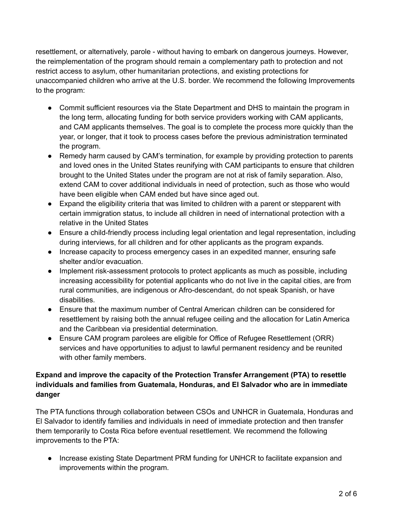resettlement, or alternatively, parole - without having to embark on dangerous journeys. However, the reimplementation of the program should remain a complementary path to protection and not restrict access to asylum, other humanitarian protections, and existing protections for unaccompanied children who arrive at the U.S. border. We recommend the following Improvements to the program:

- Commit sufficient resources via the State Department and DHS to maintain the program in the long term, allocating funding for both service providers working with CAM applicants, and CAM applicants themselves. The goal is to complete the process more quickly than the year, or longer, that it took to process cases before the previous administration terminated the program.
- Remedy harm caused by CAM's termination, for example by providing protection to parents and loved ones in the United States reunifying with CAM participants to ensure that children brought to the United States under the program are not at risk of family separation. Also, extend CAM to cover additional individuals in need of protection, such as those who would have been eligible when CAM ended but have since aged out.
- Expand the eligibility criteria that was limited to children with a parent or stepparent with certain immigration status, to include all children in need of international protection with a relative in the United States
- Ensure a child-friendly process including legal orientation and legal representation, including during interviews, for all children and for other applicants as the program expands.
- Increase capacity to process emergency cases in an expedited manner, ensuring safe shelter and/or evacuation.
- Implement risk-assessment protocols to protect applicants as much as possible, including increasing accessibility for potential applicants who do not live in the capital cities, are from rural communities, are indigenous or Afro-descendant, do not speak Spanish, or have disabilities.
- Ensure that the maximum number of Central American children can be considered for resettlement by raising both the annual refugee ceiling and the allocation for Latin America and the Caribbean via presidential determination.
- Ensure CAM program parolees are eligible for Office of Refugee Resettlement (ORR) services and have opportunities to adjust to lawful permanent residency and be reunited with other family members.

## <span id="page-1-0"></span>**Expand and improve the capacity of the Protection Transfer Arrangement (PTA) to resettle individuals and families from Guatemala, Honduras, and El Salvador who are in immediate danger**

The PTA functions through collaboration between CSOs and UNHCR in Guatemala, Honduras and El Salvador to identify families and individuals in need of immediate protection and then transfer them temporarily to Costa Rica before eventual resettlement. We recommend the following improvements to the PTA:

● Increase existing State Department PRM funding for UNHCR to facilitate expansion and improvements within the program.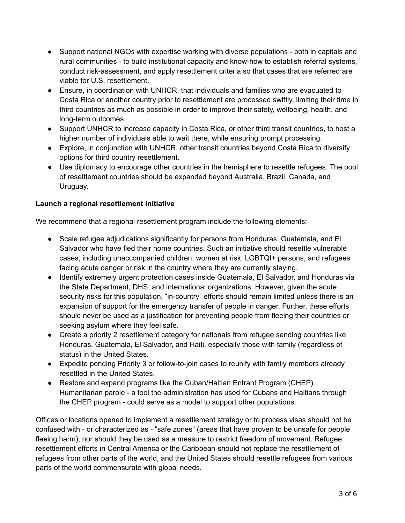- Support national NGOs with expertise working with diverse populations both in capitals and rural communities - to build institutional capacity and know-how to establish referral systems, conduct risk-assessment, and apply resettlement criteria so that cases that are referred are viable for U.S. resettlement.
- Ensure, in coordination with UNHCR, that individuals and families who are evacuated to Costa Rica or another country prior to resettlement are processed swiftly, limiting their time in third countries as much as possible in order to improve their safety, wellbeing, health, and long-term outcomes.
- Support UNHCR to increase capacity in Costa Rica, or other third transit countries, to host a higher number of individuals able to wait there, while ensuring prompt processing.
- Explore, in conjunction with UNHCR, other transit countries beyond Costa Rica to diversify options for third country resettlement.
- Use diplomacy to encourage other countries in the hemisphere to resettle refugees. The pool of resettlement countries should be expanded beyond Australia, Brazil, Canada, and Uruguay.

#### <span id="page-2-0"></span>**Launch a regional resettlement initiative**

We recommend that a regional resettlement program include the following elements:

- Scale refugee adjudications significantly for persons from Honduras, Guatemala, and El Salvador who have fled their home countries. Such an initiative should resettle vulnerable cases, including unaccompanied children, women at risk, LGBTQI+ persons, and refugees facing acute danger or risk in the country where they are currently staying.
- Identify extremely urgent protection cases inside Guatemala, El Salvador, and Honduras via the State Department, DHS, and international organizations. However, given the acute security risks for this population, "in-country" efforts should remain limited unless there is an expansion of support for the emergency transfer of people in danger. Further, these efforts should never be used as a justification for preventing people from fleeing their countries or seeking asylum where they feel safe.
- Create a priority 2 resettlement category for nationals from refugee sending countries like Honduras, Guatemala, El Salvador, and Haiti, especially those with family (regardless of status) in the United States.
- Expedite pending Priority 3 or follow-to-join cases to reunify with family members already resettled in the United States.
- Restore and expand programs like the Cuban/Haitian Entrant Program (CHEP). Humanitarian parole - a tool the administration has used for Cubans and Haitians through the CHEP program - could serve as a model to support other populations.

Offices or locations opened to implement a resettlement strategy or to process visas should not be confused with - or characterized as - "safe zones" (areas that have proven to be unsafe for people fleeing harm), nor should they be used as a measure to restrict freedom of movement. Refugee resettlement efforts in Central America or the Caribbean should not replace the resettlement of refugees from other parts of the world, and the United States should resettle refugees from various parts of the world commensurate with global needs.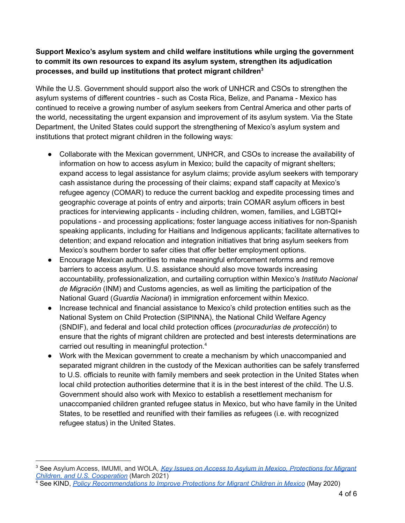#### <span id="page-3-0"></span>**Support Mexico's asylum system and child welfare institutions while urging the government to commit its own resources to expand its asylum system, strengthen its adjudication processes, and build up institutions that protect migrant children 3**

While the U.S. Government should support also the work of UNHCR and CSOs to strengthen the asylum systems of different countries - such as Costa Rica, Belize, and Panama - Mexico has continued to receive a growing number of asylum seekers from Central America and other parts of the world, necessitating the urgent expansion and improvement of its asylum system. Via the State Department, the United States could support the strengthening of Mexico's asylum system and institutions that protect migrant children in the following ways:

- Collaborate with the Mexican government, UNHCR, and CSOs to increase the availability of information on how to access asylum in Mexico; build the capacity of migrant shelters; expand access to legal assistance for asylum claims; provide asylum seekers with temporary cash assistance during the processing of their claims; expand staff capacity at Mexico's refugee agency (COMAR) to reduce the current backlog and expedite processing times and geographic coverage at points of entry and airports; train COMAR asylum officers in best practices for interviewing applicants - including children, women, families, and LGBTQI+ populations - and processing applications; foster language access initiatives for non-Spanish speaking applicants, including for Haitians and Indigenous applicants; facilitate alternatives to detention; and expand relocation and integration initiatives that bring asylum seekers from Mexico's southern border to safer cities that offer better employment options.
- Encourage Mexican authorities to make meaningful enforcement reforms and remove barriers to access asylum. U.S. assistance should also move towards increasing accountability, professionalization, and curtailing corruption within Mexico's *Instituto Nacional de Migración* (INM) and Customs agencies, as well as limiting the participation of the National Guard (*Guardia Nacional*) in immigration enforcement within Mexico.
- Increase technical and financial assistance to Mexico's child protection entities such as the National System on Child Protection (SIPINNA), the National Child Welfare Agency (SNDIF), and federal and local child protection offices (*procuradurías de protección*) to ensure that the rights of migrant children are protected and best interests determinations are carried out resulting in meaningful protection. 4
- Work with the Mexican government to create a mechanism by which unaccompanied and separated migrant children in the custody of the Mexican authorities can be safely transferred to U.S. officials to reunite with family members and seek protection in the United States when local child protection authorities determine that it is in the best interest of the child. The U.S. Government should also work with Mexico to establish a resettlement mechanism for unaccompanied children granted refugee status in Mexico, but who have family in the United States, to be resettled and reunified with their families as refugees (i.e. with recognized refugee status) in the United States.

<sup>3</sup> See Asylum Access, IMUMI, and WOLA, *Key Issues on Access to Asylum in Mexico, [Protections](https://www.wola.org/analysis/key-points-migration-march-2021/) for Migrant Children, and U.S. [Cooperation](https://www.wola.org/analysis/key-points-migration-march-2021/)* (March 2021)

<sup>4</sup> See KIND, *Policy [Recommendations](https://supportkind.org/resources/policy-recommendations-to-improve-protections-for-migrant-children-in-mexico/) to Improve Protections for Migrant Children in Mexico* (May 2020)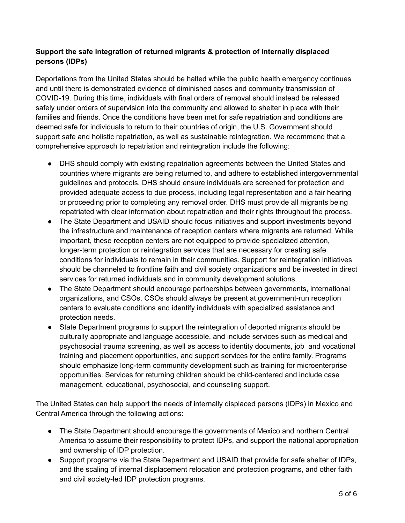#### <span id="page-4-0"></span>**Support the safe integration of returned migrants & protection of internally displaced persons (IDPs)**

Deportations from the United States should be halted while the public health emergency continues and until there is demonstrated evidence of diminished cases and community transmission of COVID-19. During this time, individuals with final orders of removal should instead be released safely under orders of supervision into the community and allowed to shelter in place with their families and friends. Once the conditions have been met for safe repatriation and conditions are deemed safe for individuals to return to their countries of origin, the U.S. Government should support safe and holistic repatriation, as well as sustainable reintegration. We recommend that a comprehensive approach to repatriation and reintegration include the following:

- DHS should comply with existing repatriation agreements between the United States and countries where migrants are being returned to, and adhere to established intergovernmental guidelines and protocols. DHS should ensure individuals are screened for protection and provided adequate access to due process, including legal representation and a fair hearing or proceeding prior to completing any removal order. DHS must provide all migrants being repatriated with clear information about repatriation and their rights throughout the process.
- The State Department and USAID should focus initiatives and support investments beyond the infrastructure and maintenance of reception centers where migrants are returned. While important, these reception centers are not equipped to provide specialized attention, longer-term protection or reintegration services that are necessary for creating safe conditions for individuals to remain in their communities. Support for reintegration initiatives should be channeled to frontline faith and civil society organizations and be invested in direct services for returned individuals and in community development solutions.
- The State Department should encourage partnerships between governments, international organizations, and CSOs. CSOs should always be present at government-run reception centers to evaluate conditions and identify individuals with specialized assistance and protection needs.
- State Department programs to support the reintegration of deported migrants should be culturally appropriate and language accessible, and include services such as medical and psychosocial trauma screening, as well as access to identity documents, job and vocational training and placement opportunities, and support services for the entire family. Programs should emphasize long-term community development such as training for microenterprise opportunities. Services for returning children should be child-centered and include case management, educational, psychosocial, and counseling support.

The United States can help support the needs of internally displaced persons (IDPs) in Mexico and Central America through the following actions:

- The State Department should encourage the governments of Mexico and northern Central America to assume their responsibility to protect IDPs, and support the national appropriation and ownership of IDP protection.
- Support programs via the State Department and USAID that provide for safe shelter of IDPs, and the scaling of internal displacement relocation and protection programs, and other faith and civil society-led IDP protection programs.